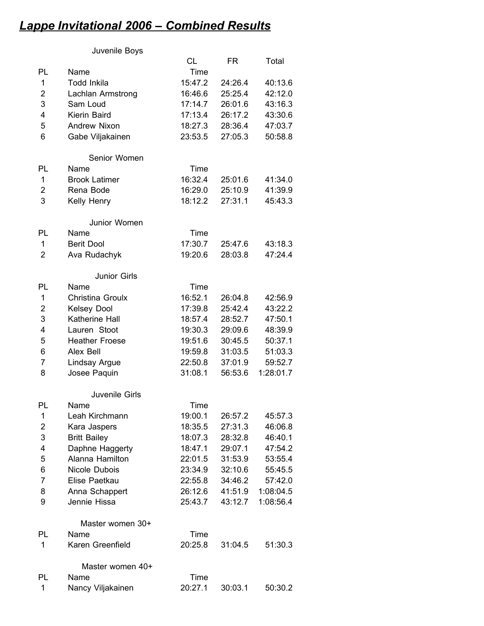## *Lappe Invitational 2006 – Combined Results*

## Juvenile Boys

|                |                       | CL      | FR      | Total     |
|----------------|-----------------------|---------|---------|-----------|
| PL             | Name                  | Time    |         |           |
| 1              | <b>Todd Inkila</b>    | 15:47.2 | 24:26.4 | 40:13.6   |
| 2              | Lachlan Armstrong     | 16:46.6 | 25:25.4 | 42:12.0   |
| 3              | Sam Loud              | 17:14.7 | 26:01.6 | 43:16.3   |
| 4              | Kierin Baird          | 17:13.4 | 26:17.2 | 43:30.6   |
| 5              | Andrew Nixon          | 18:27.3 | 28:36.4 | 47:03.7   |
| 6              | Gabe Viljakainen      | 23:53.5 | 27:05.3 | 50:58.8   |
|                | Senior Women          |         |         |           |
| PL             | Name                  | Time    |         |           |
| 1              | <b>Brook Latimer</b>  | 16:32.4 | 25:01.6 | 41:34.0   |
| 2              | Rena Bode             | 16:29.0 | 25:10.9 | 41:39.9   |
| 3              | Kelly Henry           | 18:12.2 | 27:31.1 | 45:43.3   |
|                | Junior Women          |         |         |           |
| PL             | Name                  | Time    |         |           |
| 1              | <b>Berit Dool</b>     | 17:30.7 | 25:47.6 | 43:18.3   |
| $\overline{2}$ | Ava Rudachyk          | 19:20.6 | 28:03.8 | 47:24.4   |
|                | Junior Girls          |         |         |           |
| PL             | Name                  | Time    |         |           |
| 1              | Christina Groulx      | 16:52.1 | 26:04.8 | 42:56.9   |
| $\overline{2}$ | Kelsey Dool           | 17:39.8 | 25:42.4 | 43:22.2   |
| 3              | Katherine Hall        | 18:57.4 | 28:52.7 | 47:50.1   |
| 4              | Lauren Stoot          | 19:30.3 | 29:09.6 | 48:39.9   |
| 5              | <b>Heather Froese</b> | 19:51.6 | 30:45.5 | 50:37.1   |
| 6              | Alex Bell             | 19:59.8 | 31:03.5 | 51:03.3   |
| 7              | Lindsay Argue         | 22:50.8 | 37:01.9 | 59:52.7   |
| 8              | Josee Paquin          | 31:08.1 | 56:53.6 | 1:28:01.7 |
|                | <b>Juvenile Girls</b> |         |         |           |
| PL             | Name                  | Time    |         |           |
| 1              | Leah Kirchmann        | 19:00.1 | 26:57.2 | 45:57.3   |
| $\overline{c}$ | Kara Jaspers          | 18:35.5 | 27:31.3 | 46:06.8   |
| 3              | <b>Britt Bailey</b>   | 18:07.3 | 28:32.8 | 46:40.1   |
| 4              | Daphne Haggerty       | 18:47.1 | 29:07.1 | 47:54.2   |
| 5              | Alanna Hamilton       | 22:01.5 | 31:53.9 | 53:55.4   |
| 6              | Nicole Dubois         | 23:34.9 | 32:10.6 | 55:45.5   |
| $\overline{7}$ | Elise Paetkau         | 22:55.8 | 34:46.2 | 57:42.0   |
| 8              | Anna Schappert        | 26:12.6 | 41:51.9 | 1:08:04.5 |
| 9              | Jennie Hissa          | 25:43.7 | 43:12.7 | 1:08:56.4 |
|                | Master women 30+      |         |         |           |
| PL             | Name                  | Time    |         |           |
| 1              | Karen Greenfield      | 20:25.8 | 31:04.5 | 51:30.3   |
|                | Master women 40+      |         |         |           |
| PL             | Name                  | Time    |         |           |
| 1              | Nancy Viljakainen     | 20:27.1 | 30:03.1 | 50:30.2   |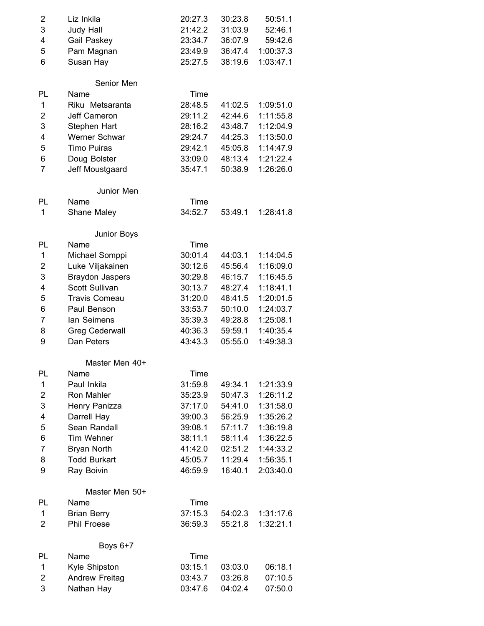| 2                       | Liz Inkila             | 20:27.3 | 30:23.8 | 50:51.1   |
|-------------------------|------------------------|---------|---------|-----------|
| 3                       | Judy Hall              | 21:42.2 | 31:03.9 | 52:46.1   |
| 4                       | Gail Paskey            | 23:34.7 | 36:07.9 | 59:42.6   |
| 5                       | Pam Magnan             | 23:49.9 | 36:47.4 | 1:00:37.3 |
| 6                       | Susan Hay              | 25:27.5 | 38:19.6 | 1:03:47.1 |
|                         | Senior Men             |         |         |           |
| PL                      | Name                   | Time    |         |           |
| 1                       | Riku Metsaranta        | 28:48.5 | 41:02.5 | 1:09:51.0 |
| 2                       | Jeff Cameron           | 29:11.2 | 42:44.6 | 1:11:55.8 |
| 3                       | Stephen Hart           | 28:16.2 | 43:48.7 | 1:12:04.9 |
| 4                       | Werner Schwar          | 29:24.7 | 44:25.3 | 1:13:50.0 |
| 5                       | <b>Timo Puiras</b>     | 29:42.1 | 45:05.8 | 1:14:47.9 |
| 6                       | Doug Bolster           | 33:09.0 | 48:13.4 | 1:21:22.4 |
| $\overline{7}$          | Jeff Moustgaard        | 35:47.1 | 50:38.9 | 1:26:26.0 |
|                         | Junior Men             |         |         |           |
| <b>PL</b>               | Name                   | Time    |         |           |
| 1                       | Shane Maley            | 34:52.7 | 53:49.1 | 1:28:41.8 |
|                         | Junior Boys            |         |         |           |
| PL                      | Name                   | Time    |         |           |
| 1                       | Michael Somppi         | 30:01.4 | 44:03.1 | 1:14:04.5 |
| 2                       | Luke Viljakainen       | 30:12.6 | 45:56.4 | 1:16:09.0 |
| 3                       | <b>Braydon Jaspers</b> | 30:29.8 | 46:15.7 | 1:16:45.5 |
| $\overline{4}$          | Scott Sullivan         | 30:13.7 | 48:27.4 | 1:18:41.1 |
| 5                       | <b>Travis Comeau</b>   | 31:20.0 | 48:41.5 | 1:20:01.5 |
| 6                       | Paul Benson            | 33:53.7 | 50:10.0 | 1:24:03.7 |
| $\overline{7}$          | lan Seimens            | 35:39.3 | 49:28.8 | 1:25:08.1 |
| 8                       | <b>Greg Cederwall</b>  | 40:36.3 | 59:59.1 | 1:40:35.4 |
| 9                       | Dan Peters             | 43:43.3 | 05:55.0 | 1:49:38.3 |
|                         | Master Men 40+         |         |         |           |
| PL                      | Name                   | Time    |         |           |
| 1                       | Paul Inkila            | 31:59.8 | 49:34.1 | 1:21:33.9 |
| $\overline{\mathbf{c}}$ | Ron Mahler             | 35:23.9 | 50:47.3 | 1:26:11.2 |
| 3                       | Henry Panizza          | 37:17.0 | 54:41.0 | 1:31:58.0 |
| 4                       | Darrell Hay            | 39:00.3 | 56:25.9 | 1:35:26.2 |
| 5                       | Sean Randall           | 39:08.1 | 57:11.7 | 1:36:19.8 |
| 6                       | <b>Tim Wehner</b>      | 38:11.1 | 58:11.4 | 1:36:22.5 |
| 7                       | <b>Bryan North</b>     | 41:42.0 | 02:51.2 | 1:44:33.2 |
| 8                       | <b>Todd Burkart</b>    | 45:05.7 | 11:29.4 | 1:56:35.1 |
| 9                       | Ray Boivin             | 46:59.9 | 16:40.1 | 2:03:40.0 |
|                         | Master Men 50+         |         |         |           |
| PL                      | Name                   | Time    |         |           |
| 1                       | <b>Brian Berry</b>     | 37:15.3 | 54:02.3 | 1:31:17.6 |
| 2                       | Phil Froese            | 36:59.3 | 55:21.8 | 1:32:21.1 |
|                         | Boys 6+7               |         |         |           |
| PL                      | Name                   | Time    |         |           |
| 1                       | Kyle Shipston          | 03:15.1 | 03:03.0 | 06:18.1   |
| 2                       | Andrew Freitag         | 03:43.7 | 03:26.8 | 07:10.5   |
| 3                       | Nathan Hay             | 03:47.6 | 04:02.4 | 07:50.0   |